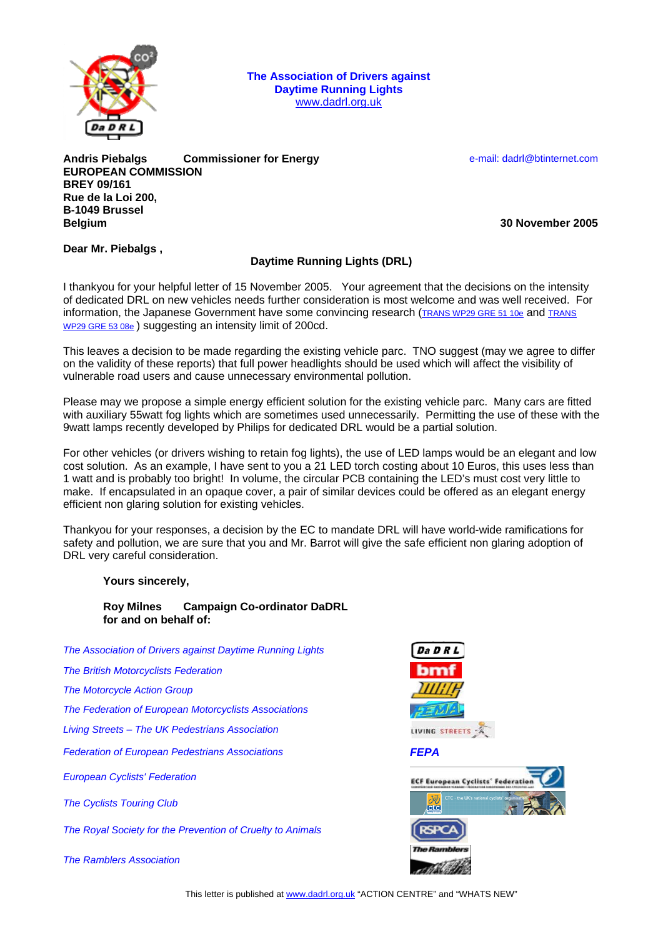

**The Association of Drivers against Daytime Running Lights**  www.dadrl.org.uk

**Andris Piebalgs Commissioner for Energy Commission Commissioner for and Energy Commission Commissioner for Energy Commissioner for Energy Commissioner for Energy Commissioner for Energy Commissioner for Energy Commissione EUROPEAN COMMISSION BREY 09/161 Rue de la Loi 200, B-1049 Brussel Belgium 30 November 2005**

**Dear Mr. Piebalgs ,** 

## **Daytime Running Lights (DRL)**

I thankyou for your helpful letter of 15 November 2005. Your agreement that the decisions on the intensity of dedicated DRL on new vehicles needs further consideration is most welcome and was well received. For information, the Japanese Government have some convincing research (TRANS WP29 GRE 51 10e and TRANS WP29 GRE 53 08e ) suggesting an intensity limit of 200cd.

This leaves a decision to be made regarding the existing vehicle parc. TNO suggest (may we agree to differ on the validity of these reports) that full power headlights should be used which will affect the visibility of vulnerable road users and cause unnecessary environmental pollution.

Please may we propose a simple energy efficient solution for the existing vehicle parc. Many cars are fitted with auxiliary 55watt fog lights which are sometimes used unnecessarily. Permitting the use of these with the 9watt lamps recently developed by Philips for dedicated DRL would be a partial solution.

For other vehicles (or drivers wishing to retain fog lights), the use of LED lamps would be an elegant and low cost solution. As an example, I have sent to you a 21 LED torch costing about 10 Euros, this uses less than 1 watt and is probably too bright! In volume, the circular PCB containing the LED's must cost very little to make. If encapsulated in an opaque cover, a pair of similar devices could be offered as an elegant energy efficient non glaring solution for existing vehicles.

Thankyou for your responses, a decision by the EC to mandate DRL will have world-wide ramifications for safety and pollution, we are sure that you and Mr. Barrot will give the safe efficient non glaring adoption of DRL very careful consideration.

## **Yours sincerely,**

## **Roy Milnes Campaign Co-ordinator DaDRL for and on behalf of:**

*The Association of Drivers against Daytime Running Lights* 

*The British Motorcyclists Federation* 

*The Motorcycle Action Group* 

*The Federation of European Motorcyclists Associations* 

*Living Streets – The UK Pedestrians Association* 

*Federation of European Pedestrians Associations FEPA*

*European Cyclists' Federation* 

*The Cyclists Touring Club* 

*The Royal Society for the Prevention of Cruelty to Animals* 

*The Ramblers Association*